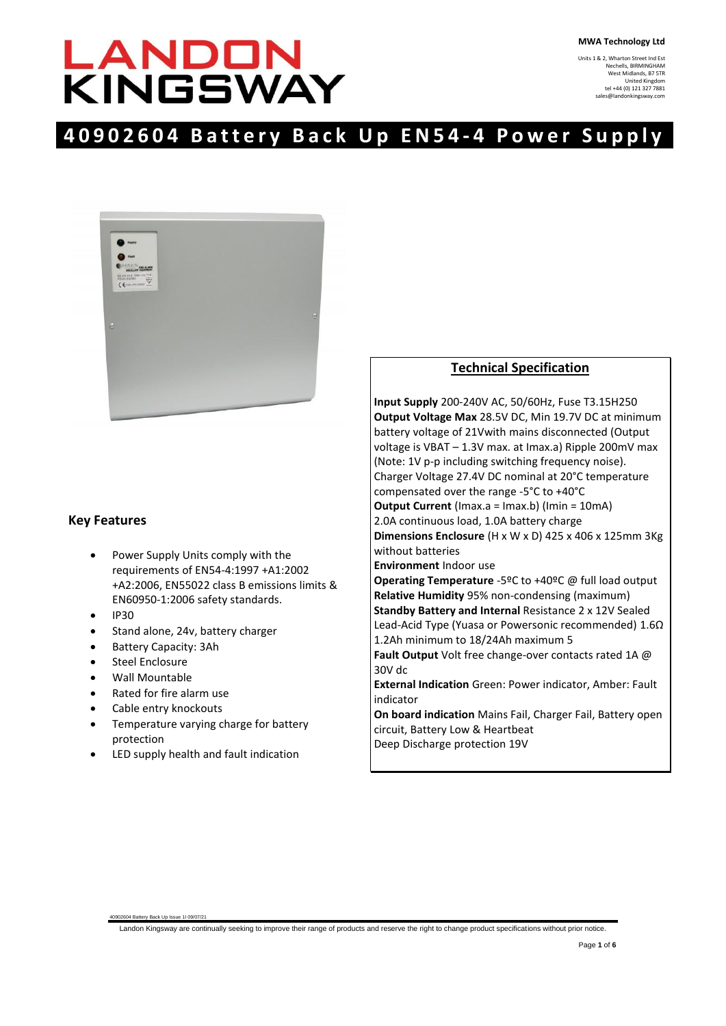# LANDON<br>KINGSWAY

Units 1 & 2, Wharton Street Ind Est Nechells, BIRMINGHAM West Midlands, B7 5TR United Kingdom tel +44 (0) 121 327 7881 ngsway.

# **40902604 Battery Back U p E N 5 4 - 4 P o w e r S u p p l y**



# **Key Features**

- Power Supply Units comply with the requirements of EN54-4:1997 +A1:2002 +A2:2006, EN55022 class B emissions limits & EN60950-1:2006 safety standards.
- IP30
- Stand alone, 24v, battery charger
- Battery Capacity: 3Ah
- Steel Enclosure
- Wall Mountable
- Rated for fire alarm use
- Cable entry knockouts

40902604 Battery Back Up Issue 1I 09/07/21

- Temperature varying charge for battery protection
- LED supply health and fault indication

# **Technical Specification**

**Input Supply** 200-240V AC, 50/60Hz, Fuse T3.15H250 **Output Voltage Max** 28.5V DC, Min 19.7V DC at minimum battery voltage of 21Vwith mains disconnected (Output voltage is VBAT – 1.3V max. at Imax.a) Ripple 200mV max (Note: 1V p-p including switching frequency noise). Charger Voltage 27.4V DC nominal at 20°C temperature compensated over the range -5°C to +40°C **Output Current** (Imax.a = Imax.b) (Imin = 10mA) 2.0A continuous load, 1.0A battery charge **Dimensions Enclosure** (H x W x D) 425 x 406 x 125mm 3Kg without batteries **Environment** Indoor use **Operating Temperature** -5ºC to +40ºC @ full load output **Relative Humidity** 95% non-condensing (maximum) **Standby Battery and Internal** Resistance 2 x 12V Sealed Lead-Acid Type (Yuasa or Powersonic recommended) 1.6Ω 1.2Ah minimum to 18/24Ah maximum 5 **Fault Output** Volt free change-over contacts rated 1A @ 30V dc **External Indication** Green: Power indicator, Amber: Fault indicator **On board indication** Mains Fail, Charger Fail, Battery open circuit, Battery Low & Heartbeat Deep Discharge protection 19V

Landon Kingsway are continually seeking to improve their range of products and reserve the right to change product specifications without prior notice.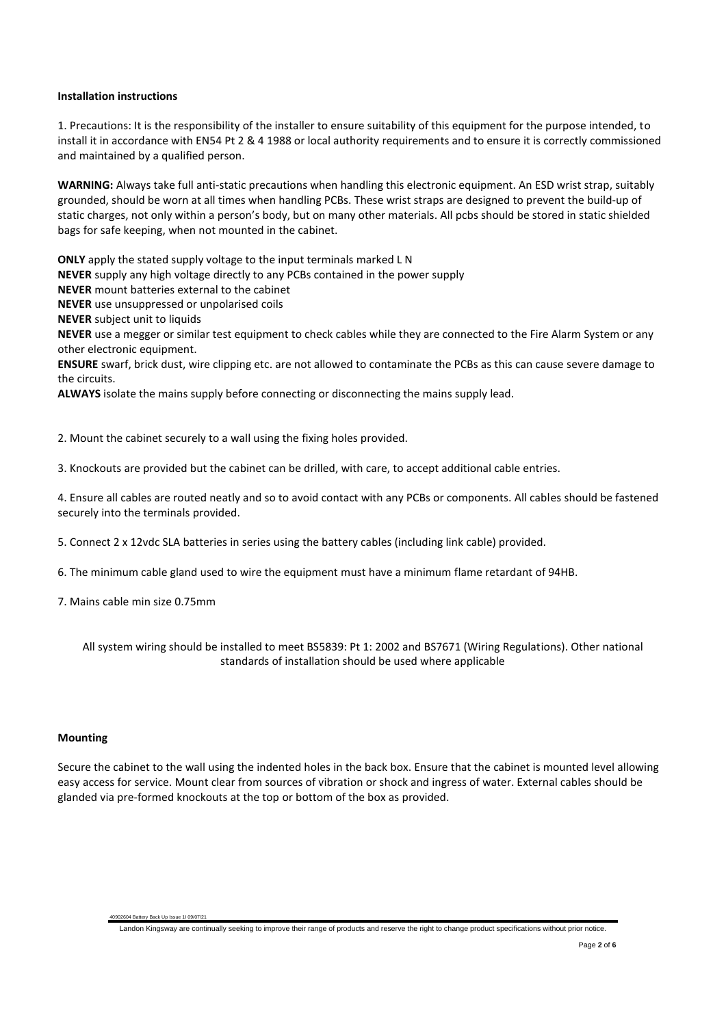#### **Installation instructions**

1. Precautions: It is the responsibility of the installer to ensure suitability of this equipment for the purpose intended, to install it in accordance with EN54 Pt 2 & 4 1988 or local authority requirements and to ensure it is correctly commissioned and maintained by a qualified person.

**WARNING:** Always take full anti-static precautions when handling this electronic equipment. An ESD wrist strap, suitably grounded, should be worn at all times when handling PCBs. These wrist straps are designed to prevent the build-up of static charges, not only within a person's body, but on many other materials. All pcbs should be stored in static shielded bags for safe keeping, when not mounted in the cabinet.

**ONLY** apply the stated supply voltage to the input terminals marked L N

**NEVER** supply any high voltage directly to any PCBs contained in the power supply

**NEVER** mount batteries external to the cabinet

**NEVER** use unsuppressed or unpolarised coils

**NEVER** subject unit to liquids

**NEVER** use a megger or similar test equipment to check cables while they are connected to the Fire Alarm System or any other electronic equipment.

**ENSURE** swarf, brick dust, wire clipping etc. are not allowed to contaminate the PCBs as this can cause severe damage to the circuits.

**ALWAYS** isolate the mains supply before connecting or disconnecting the mains supply lead.

2. Mount the cabinet securely to a wall using the fixing holes provided.

3. Knockouts are provided but the cabinet can be drilled, with care, to accept additional cable entries.

4. Ensure all cables are routed neatly and so to avoid contact with any PCBs or components. All cables should be fastened securely into the terminals provided.

5. Connect 2 x 12vdc SLA batteries in series using the battery cables (including link cable) provided.

6. The minimum cable gland used to wire the equipment must have a minimum flame retardant of 94HB.

7. Mains cable min size 0.75mm

40902604 Battery Back Up Issue 1I 09/07/21

All system wiring should be installed to meet BS5839: Pt 1: 2002 and BS7671 (Wiring Regulations). Other national standards of installation should be used where applicable

#### **Mounting**

Secure the cabinet to the wall using the indented holes in the back box. Ensure that the cabinet is mounted level allowing easy access for service. Mount clear from sources of vibration or shock and ingress of water. External cables should be glanded via pre-formed knockouts at the top or bottom of the box as provided.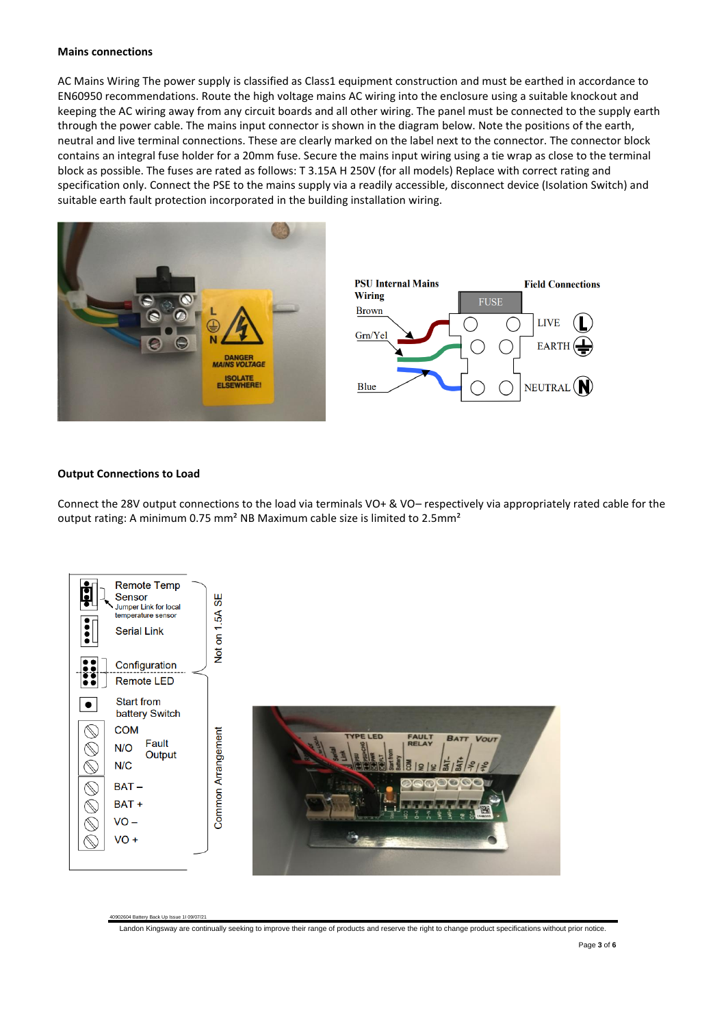#### **Mains connections**

AC Mains Wiring The power supply is classified as Class1 equipment construction and must be earthed in accordance to EN60950 recommendations. Route the high voltage mains AC wiring into the enclosure using a suitable knockout and keeping the AC wiring away from any circuit boards and all other wiring. The panel must be connected to the supply earth through the power cable. The mains input connector is shown in the diagram below. Note the positions of the earth, neutral and live terminal connections. These are clearly marked on the label next to the connector. The connector block contains an integral fuse holder for a 20mm fuse. Secure the mains input wiring using a tie wrap as close to the terminal block as possible. The fuses are rated as follows: T 3.15A H 250V (for all models) Replace with correct rating and specification only. Connect the PSE to the mains supply via a readily accessible, disconnect device (Isolation Switch) and suitable earth fault protection incorporated in the building installation wiring.



# **Output Connections to Load**

40902604 Battery Back Up Issue 1I 09/07/21

Connect the 28V output connections to the load via terminals VO+ & VO– respectively via appropriately rated cable for the output rating: A minimum 0.75 mm<sup>2</sup> NB Maximum cable size is limited to 2.5mm<sup>2</sup>



Landon Kingsway are continually seeking to improve their range of products and reserve the right to change product specifications without prior notice.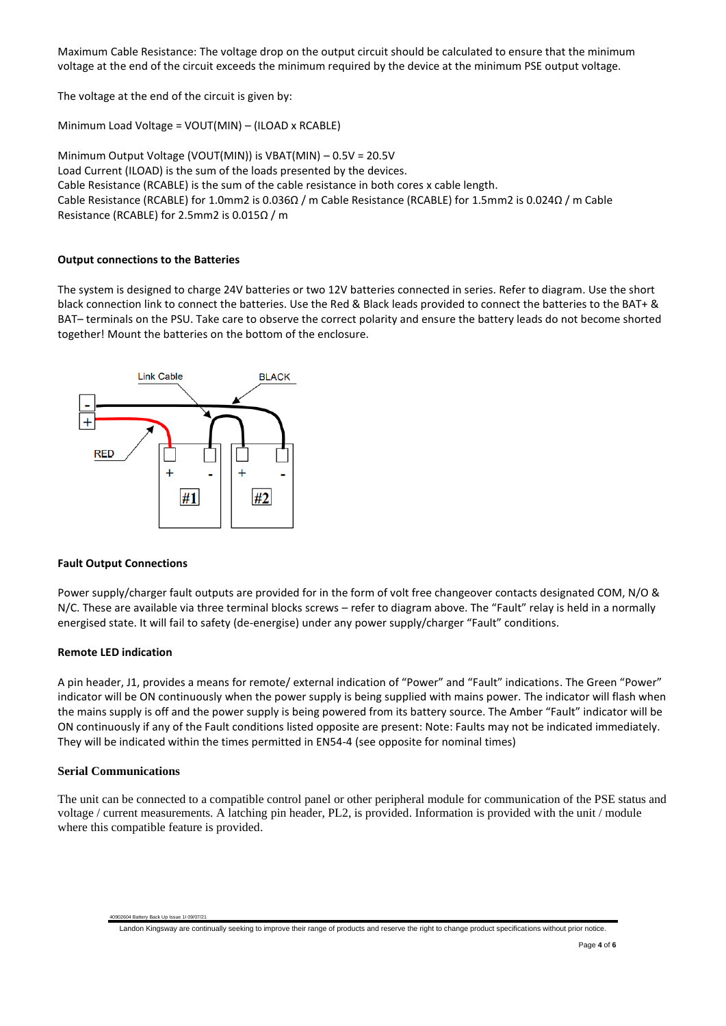Maximum Cable Resistance: The voltage drop on the output circuit should be calculated to ensure that the minimum voltage at the end of the circuit exceeds the minimum required by the device at the minimum PSE output voltage.

The voltage at the end of the circuit is given by:

Minimum Load Voltage = VOUT(MIN) – (ILOAD x RCABLE)

Minimum Output Voltage (VOUT(MIN)) is VBAT(MIN) – 0.5V = 20.5V Load Current (ILOAD) is the sum of the loads presented by the devices. Cable Resistance (RCABLE) is the sum of the cable resistance in both cores x cable length. Cable Resistance (RCABLE) for 1.0mm2 is 0.036Ω / m Cable Resistance (RCABLE) for 1.5mm2 is 0.024Ω / m Cable Resistance (RCABLE) for 2.5mm2 is 0.015Ω / m

# **Output connections to the Batteries**

The system is designed to charge 24V batteries or two 12V batteries connected in series. Refer to diagram. Use the short black connection link to connect the batteries. Use the Red & Black leads provided to connect the batteries to the BAT+ & BAT– terminals on the PSU. Take care to observe the correct polarity and ensure the battery leads do not become shorted together! Mount the batteries on the bottom of the enclosure.



#### **Fault Output Connections**

Power supply/charger fault outputs are provided for in the form of volt free changeover contacts designated COM, N/O & N/C. These are available via three terminal blocks screws – refer to diagram above. The "Fault" relay is held in a normally energised state. It will fail to safety (de-energise) under any power supply/charger "Fault" conditions.

#### **Remote LED indication**

A pin header, J1, provides a means for remote/ external indication of "Power" and "Fault" indications. The Green "Power" indicator will be ON continuously when the power supply is being supplied with mains power. The indicator will flash when the mains supply is off and the power supply is being powered from its battery source. The Amber "Fault" indicator will be ON continuously if any of the Fault conditions listed opposite are present: Note: Faults may not be indicated immediately. They will be indicated within the times permitted in EN54-4 (see opposite for nominal times)

# **Serial Communications**

40902604 Battery Back Up Issue 1I 09/07/21

The unit can be connected to a compatible control panel or other peripheral module for communication of the PSE status and voltage / current measurements. A latching pin header, PL2, is provided. Information is provided with the unit / module where this compatible feature is provided.

Landon Kingsway are continually seeking to improve their range of products and reserve the right to change product specifications without prior notice.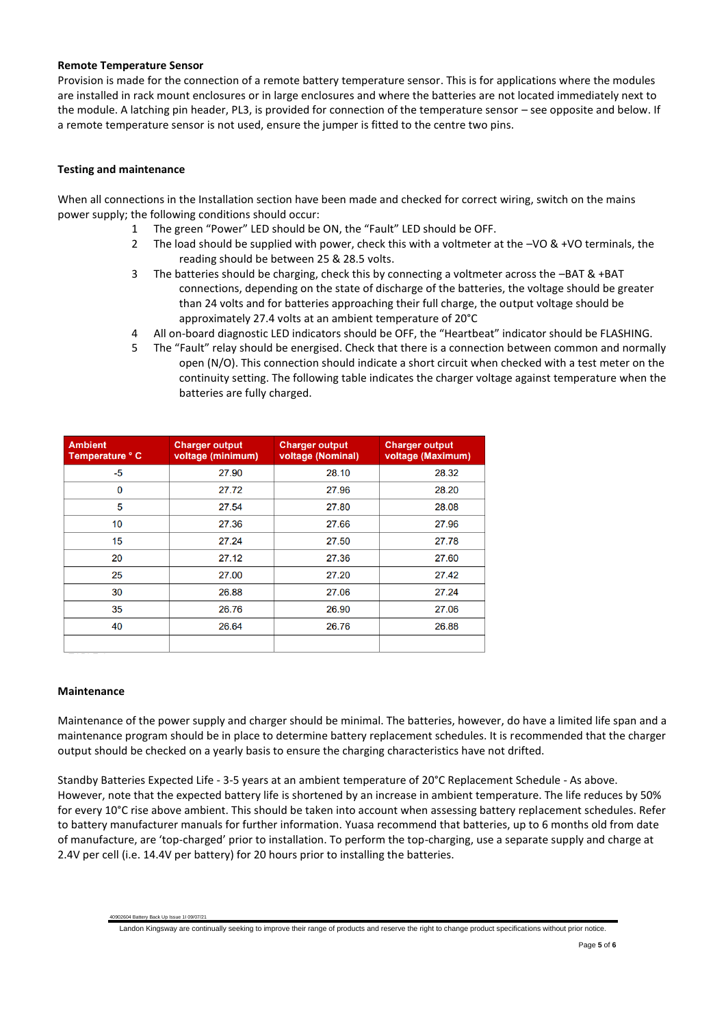#### **Remote Temperature Sensor**

Provision is made for the connection of a remote battery temperature sensor. This is for applications where the modules are installed in rack mount enclosures or in large enclosures and where the batteries are not located immediately next to the module. A latching pin header, PL3, is provided for connection of the temperature sensor – see opposite and below. If a remote temperature sensor is not used, ensure the jumper is fitted to the centre two pins.

# **Testing and maintenance**

When all connections in the Installation section have been made and checked for correct wiring, switch on the mains power supply; the following conditions should occur:

- 1 The green "Power" LED should be ON, the "Fault" LED should be OFF.
- 2 The load should be supplied with power, check this with a voltmeter at the  $-\sqrt{0}$  & +VO terminals, the reading should be between 25 & 28.5 volts.
- 3 The batteries should be charging, check this by connecting a voltmeter across the –BAT & +BAT connections, depending on the state of discharge of the batteries, the voltage should be greater than 24 volts and for batteries approaching their full charge, the output voltage should be approximately 27.4 volts at an ambient temperature of 20°C
- 4 All on-board diagnostic LED indicators should be OFF, the "Heartbeat" indicator should be FLASHING.
- 5 The "Fault" relay should be energised. Check that there is a connection between common and normally open (N/O). This connection should indicate a short circuit when checked with a test meter on the continuity setting. The following table indicates the charger voltage against temperature when the batteries are fully charged.

| <b>Ambient</b><br>Temperature ° C | <b>Charger output</b><br>voltage (minimum) | <b>Charger output</b><br>voltage (Nominal) | <b>Charger output</b><br>voltage (Maximum) |
|-----------------------------------|--------------------------------------------|--------------------------------------------|--------------------------------------------|
| -5                                | 27.90                                      | 28.10                                      | 28.32                                      |
| 0                                 | 27.72                                      | 27.96                                      | 28.20                                      |
| 5                                 | 27.54                                      | 27.80                                      | 28.08                                      |
| 10                                | 27.36                                      | 27.66                                      | 27.96                                      |
| 15                                | 27.24                                      | 27.50                                      | 27.78                                      |
| 20                                | 27.12                                      | 27.36                                      | 27.60                                      |
| 25                                | 27.00                                      | 27.20                                      | 27.42                                      |
| 30                                | 26.88                                      | 27.06                                      | 27.24                                      |
| 35                                | 26.76                                      | 26.90                                      | 27.06                                      |
| 40                                | 26.64                                      | 26.76                                      | 26.88                                      |
|                                   |                                            |                                            |                                            |

# **Maintenance**

40902604 Battery Back Up Issue 1I 09/07/21

Maintenance of the power supply and charger should be minimal. The batteries, however, do have a limited life span and a maintenance program should be in place to determine battery replacement schedules. It is recommended that the charger output should be checked on a yearly basis to ensure the charging characteristics have not drifted.

Standby Batteries Expected Life - 3-5 years at an ambient temperature of 20°C Replacement Schedule - As above. However, note that the expected battery life is shortened by an increase in ambient temperature. The life reduces by 50% for every 10°C rise above ambient. This should be taken into account when assessing battery replacement schedules. Refer to battery manufacturer manuals for further information. Yuasa recommend that batteries, up to 6 months old from date of manufacture, are 'top-charged' prior to installation. To perform the top-charging, use a separate supply and charge at 2.4V per cell (i.e. 14.4V per battery) for 20 hours prior to installing the batteries.

Landon Kingsway are continually seeking to improve their range of products and reserve the right to change product specifications without prior notice.